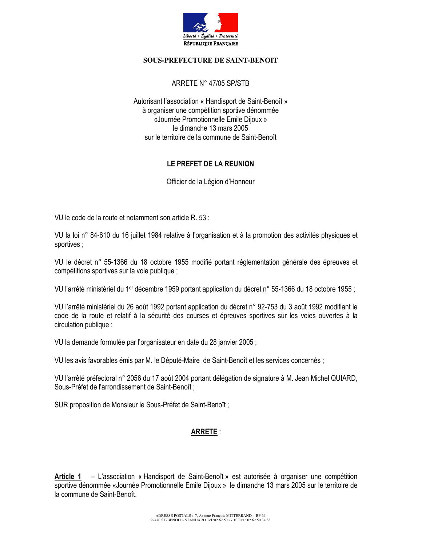

#### **SOUS-PREFECTURE DE SAINT-BENOIT**

### ARRETE N° 47/05 SP/STB

Autorisant l'association « Handisport de Saint-Benoît » à organiser une compétition sportive dénommée «Journée Promotionnelle Emile Dijoux » le dimanche 13 mars 2005 sur le territoire de la commune de Saint-Benoît

### LE PREFET DE LA REUNION

Officier de la Légion d'Honneur

VU le code de la route et notamment son article R. 53 ;

VU la loi n° 84-610 du 16 juillet 1984 relative à l'organisation et à la promotion des activités physiques et sportives;

VU le décret n° 55-1366 du 18 octobre 1955 modifié portant réglementation générale des épreuves et compétitions sportives sur la voie publique :

VU l'arrêté ministériel du 1<sup>er</sup> décembre 1959 portant application du décret n° 55-1366 du 18 octobre 1955 ;

VU l'arrêté ministériel du 26 août 1992 portant application du décret n° 92-753 du 3 août 1992 modifiant le code de la route et relatif à la sécurité des courses et épreuves sportives sur les voies ouvertes à la circulation publique ;

VU la demande formulée par l'organisateur en date du 28 janvier 2005 :

VU les avis favorables émis par M. le Député-Maire de Saint-Benoît et les services concernés ;

VU l'arrêté préfectoral n° 2056 du 17 août 2004 portant délégation de signature à M. Jean Michel QUIARD. Sous-Préfet de l'arrondissement de Saint-Benoît;

SUR proposition de Monsieur le Sous-Préfet de Saint-Benoît;

# **ARRETE:**

Article 1 - L'association « Handisport de Saint-Benoît » est autorisée à organiser une compétition sportive dénommée «Journée Promotionnelle Emile Dijoux » le dimanche 13 mars 2005 sur le territoire de la commune de Saint-Benoît.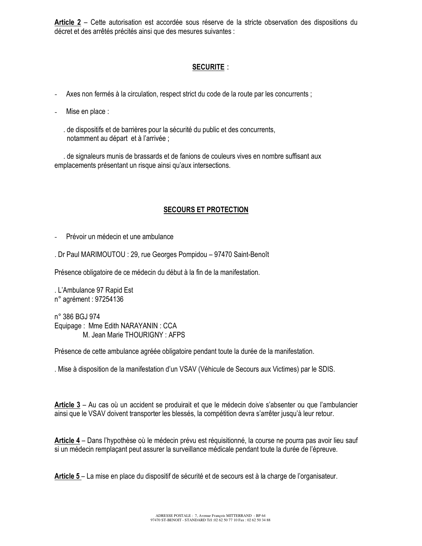Article 2 - Cette autorisation est accordée sous réserve de la stricte observation des dispositions du décret et des arrêtés précités ainsi que des mesures suivantes :

# **SECURITE:**

Axes non fermés à la circulation, respect strict du code de la route par les concurrents;

Mise en place :  $\overline{a}$ 

> de dispositifs et de barrières pour la sécurité du public et des concurrents, notamment au départ et à l'arrivée ;

de signaleurs munis de brassards et de fanions de couleurs vives en nombre suffisant aux emplacements présentant un risque ainsi qu'aux intersections.

### **SECOURS ET PROTECTION**

Prévoir un médecin et une ambulance

. Dr Paul MARIMOUTOU : 29, rue Georges Pompidou - 97470 Saint-Benoît

Présence obligatoire de ce médecin du début à la fin de la manifestation.

. L'Ambulance 97 Rapid Est n° agrément : 97254136

n° 386 BGJ 974 Equipage: Mme Edith NARAYANIN: CCA M. Jean Marie THOURIGNY: AFPS

Présence de cette ambulance agréée obligatoire pendant toute la durée de la manifestation.

. Mise à disposition de la manifestation d'un VSAV (Véhicule de Secours aux Victimes) par le SDIS.

Article 3 – Au cas où un accident se produirait et que le médecin doive s'absenter ou que l'ambulancier ainsi que le VSAV doivent transporter les blessés, la compétition devra s'arrêter jusqu'à leur retour.

Article 4 – Dans l'hypothèse où le médecin prévu est réquisitionné, la course ne pourra pas avoir lieu sauf si un médecin remplaçant peut assurer la surveillance médicale pendant toute la durée de l'épreuve.

Article 5 – La mise en place du dispositif de sécurité et de secours est à la charge de l'organisateur.